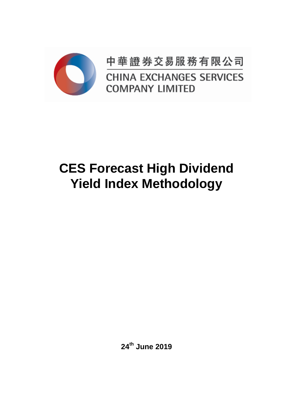

中華證券交易服務有限公司 **CHINA EXCHANGES SERVICES COMPANY LIMITED** 

# **CES Forecast High Dividend Yield Index Methodology**

**24th June 2019**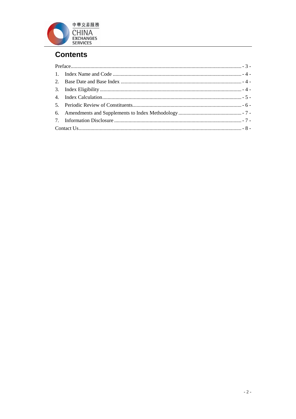

# **Contents**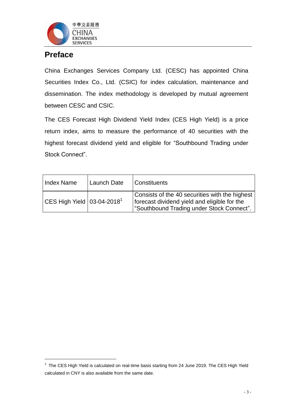

# <span id="page-2-0"></span>**Preface**

 $\overline{a}$ 

China Exchanges Services Company Ltd. (CESC) has appointed China Securities Index Co., Ltd. (CSIC) for index calculation, maintenance and dissemination. The index methodology is developed by mutual agreement between CESC and CSIC.

The CES Forecast High Dividend Yield Index (CES High Yield) is a price return index, aims to measure the performance of 40 securities with the highest forecast dividend yield and eligible for "Southbound Trading under Stock Connect".

| <b>Index Name</b>             | Launch Date | <b>Constituents</b>                                                                                                                         |
|-------------------------------|-------------|---------------------------------------------------------------------------------------------------------------------------------------------|
| CES High Yield $03-04-2018^1$ |             | Consists of the 40 securities with the highest<br>forecast dividend yield and eligible for the<br>"Southbound Trading under Stock Connect". |

 $1$  The CES High Yield is calculated on real-time basis starting from 24 June 2019. The CES High Yield calculated in CNY is also available from the same date.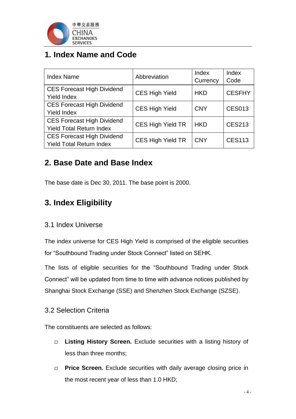

# <span id="page-3-0"></span>**1. Index Name and Code**

| <b>Index Name</b>                                                    | Abbreviation             | Index<br>Currency | Index<br>Code |
|----------------------------------------------------------------------|--------------------------|-------------------|---------------|
| <b>CES Forecast High Dividend</b><br><b>Yield Index</b>              | <b>CES High Yield</b>    | <b>HKD</b>        | <b>CESFHY</b> |
| <b>CES Forecast High Dividend</b><br><b>Yield Index</b>              | <b>CES High Yield</b>    | <b>CNY</b>        | <b>CES013</b> |
| <b>CES Forecast High Dividend</b><br><b>Yield Total Return Index</b> | <b>CES High Yield TR</b> | <b>HKD</b>        | <b>CES213</b> |
| <b>CES Forecast High Dividend</b><br><b>Yield Total Return Index</b> | <b>CES High Yield TR</b> | <b>CNY</b>        | <b>CES113</b> |

# <span id="page-3-1"></span>**2. Base Date and Base Index**

The base date is Dec 30, 2011. The base point is 2000.

# <span id="page-3-2"></span>**3. Index Eligibility**

#### 3.1 Index Universe

The index universe for CES High Yield is comprised of the eligible securities for "Southbound Trading under Stock Connect" listed on SEHK.

The lists of eligible securities for the "Southbound Trading under Stock Connect" will be updated from time to time with advance notices published by Shanghai Stock Exchange (SSE) and Shenzhen Stock Exchange (SZSE).

#### 3.2 Selection Criteria

The constituents are selected as follows:

- **Listing History Screen.** Exclude securities with a listing history of less than three months;
- **Price Screen.** Exclude securities with daily average closing price in the most recent year of less than 1.0 HKD;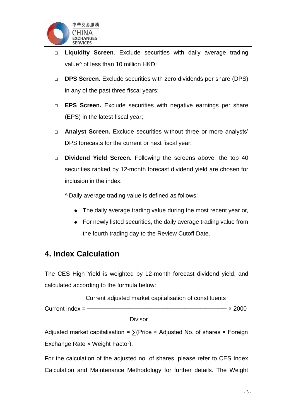

- **Liquidity Screen**. Exclude securities with daily average trading value<sup> $\land$ </sup> of less than 10 million HKD;
- **DPS Screen.** Exclude securities with zero dividends per share (DPS) in any of the past three fiscal years;
- **EPS Screen.** Exclude securities with negative earnings per share (EPS) in the latest fiscal year;
- **Analyst Screen.** Exclude securities without three or more analysts' DPS forecasts for the current or next fiscal year;
- **Dividend Yield Screen.** Following the screens above, the top 40 securities ranked by 12-month forecast dividend yield are chosen for inclusion in the index.

^ Daily average trading value is defined as follows:

- The daily average trading value during the most recent year or,
- For newly listed securities, the daily average trading value from the fourth trading day to the Review Cutoff Date.

### <span id="page-4-0"></span>**4. Index Calculation**

The CES High Yield is weighted by 12-month forecast dividend yield, and calculated according to the formula below:

 Current adjusted market capitalisation of constituents Current index = ———————————————————————————— × 2000

Divisor

Adjusted market capitalisation =  $\sum$ (Price × Adjusted No. of shares × Foreign Exchange Rate × Weight Factor).

For the calculation of the adjusted no. of shares, please refer to CES Index Calculation and Maintenance Methodology for further details. The Weight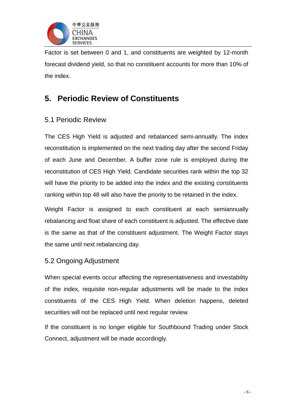

Factor is set between 0 and 1, and constituents are weighted by 12-month forecast dividend yield, so that no constituent accounts for more than 10% of the index.

# <span id="page-5-0"></span>**5. Periodic Review of Constituents**

#### 5.1 Periodic Review

The CES High Yield is adjusted and rebalanced semi-annually. The index reconstitution is implemented on the next trading day after the second Friday of each June and December. A buffer zone rule is employed during the reconstitution of CES High Yield. Candidate securities rank within the top 32 will have the priority to be added into the index and the existing constituents ranking within top 48 will also have the priority to be retained in the index.

Weight Factor is assigned to each constituent at each semiannually rebalancing and float share of each constituent is adjusted. The effective date is the same as that of the constituent adjustment. The Weight Factor stays the same until next rebalancing day.

#### 5.2 Ongoing Adjustment

When special events occur affecting the representativeness and investability of the index, requisite non-regular adjustments will be made to the index constituents of the CES High Yield. When deletion happens, deleted securities will not be replaced until next regular review.

If the constituent is no longer eligible for Southbound Trading under Stock Connect, adjustment will be made accordingly.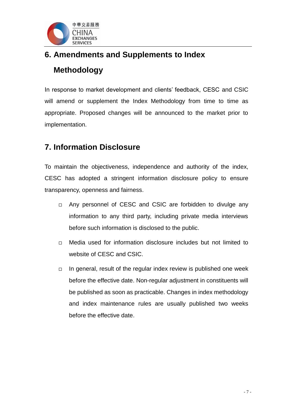

# <span id="page-6-0"></span>**6. Amendments and Supplements to Index Methodology**

In response to market development and clients' feedback, CESC and CSIC will amend or supplement the Index Methodology from time to time as appropriate. Proposed changes will be announced to the market prior to implementation.

# <span id="page-6-1"></span>**7. Information Disclosure**

To maintain the objectiveness, independence and authority of the index, CESC has adopted a stringent information disclosure policy to ensure transparency, openness and fairness.

- □ Any personnel of CESC and CSIC are forbidden to divulge any information to any third party, including private media interviews before such information is disclosed to the public.
- □ Media used for information disclosure includes but not limited to website of CESC and CSIC.
- $\Box$  In general, result of the regular index review is published one week before the effective date. Non-regular adjustment in constituents will be published as soon as practicable. Changes in index methodology and index maintenance rules are usually published two weeks before the effective date.